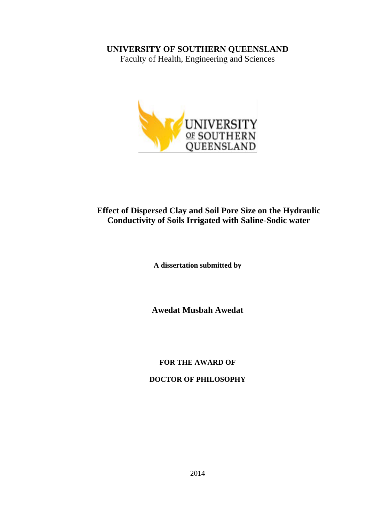### **UNIVERSITY OF SOUTHERN QUEENSLAND**

Faculty of Health, Engineering and Sciences



## **Effect of Dispersed Clay and Soil Pore Size on the Hydraulic Conductivity of Soils Irrigated with Saline-Sodic water**

**A dissertation submitted by**

**Awedat Musbah Awedat** 

**FOR THE AWARD OF**

**DOCTOR OF PHILOSOPHY**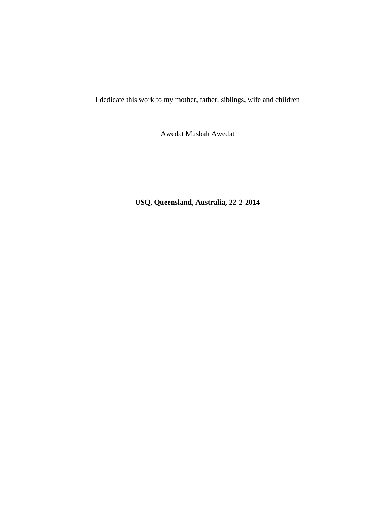I dedicate this work to my mother, father, siblings, wife and children

Awedat Musbah Awedat

**USQ, Queensland, Australia, 22-2-2014**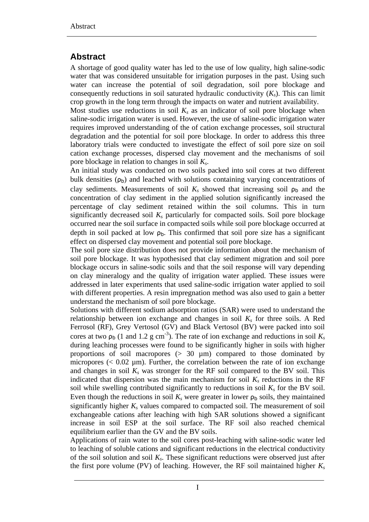# <span id="page-4-0"></span>**Abstract**

A shortage of good quality water has led to the use of low quality, high saline-sodic water that was considered unsuitable for irrigation purposes in the past. Using such water can increase the potential of soil degradation, soil pore blockage and consequently reductions in soil saturated hydraulic conductivity  $(K_s)$ . This can limit crop growth in the long term through the impacts on water and nutrient availability.

Most studies use reductions in soil  $K_s$  as an indicator of soil pore blockage when saline-sodic irrigation water is used. However, the use of saline-sodic irrigation water requires improved understanding of the of cation exchange processes, soil structural degradation and the potential for soil pore blockage. In order to address this three laboratory trials were conducted to investigate the effect of soil pore size on soil cation exchange processes, dispersed clay movement and the mechanisms of soil pore blockage in relation to changes in soil *Ks*.

An initial study was conducted on two soils packed into soil cores at two different bulk densities  $(\rho_b)$  and leached with solutions containing varying concentrations of clay sediments. Measurements of soil  $K_s$  showed that increasing soil  $\rho_b$  and the concentration of clay sediment in the applied solution significantly increased the percentage of clay sediment retained within the soil columns. This in turn significantly decreased soil  $K_s$  particularly for compacted soils. Soil pore blockage occurred near the soil surface in compacted soils while soil pore blockage occurred at depth in soil packed at low  $\rho_b$ . This confirmed that soil pore size has a significant effect on dispersed clay movement and potential soil pore blockage.

The soil pore size distribution does not provide information about the mechanism of soil pore blockage. It was hypothesised that clay sediment migration and soil pore blockage occurs in saline-sodic soils and that the soil response will vary depending on clay mineralogy and the quality of irrigation water applied. These issues were addressed in later experiments that used saline-sodic irrigation water applied to soil with different properties. A resin impregnation method was also used to gain a better understand the mechanism of soil pore blockage.

Solutions with different sodium adsorption ratios (SAR) were used to understand the relationship between ion exchange and changes in soil  $K<sub>s</sub>$  for three soils. A Red Ferrosol (RF), Grey Vertosol (GV) and Black Vertosol (BV) were packed into soil cores at two  $\rho_b$  (1 and 1.2 g cm<sup>-3</sup>). The rate of ion exchange and reductions in soil  $K_s$ during leaching processes were found to be significantly higher in soils with higher proportions of soil macropores  $(> 30 \mu m)$  compared to those dominated by micropores  $(< 0.02 \mu m)$ . Further, the correlation between the rate of ion exchange and changes in soil  $K_s$  was stronger for the RF soil compared to the BV soil. This indicated that dispersion was the main mechanism for soil  $K_s$  reductions in the RF soil while swelling contributed significantly to reductions in soil  $K_s$  for the BV soil. Even though the reductions in soil  $K_s$  were greater in lower  $\rho_b$  soils, they maintained significantly higher  $K_s$  values compared to compacted soil. The measurement of soil exchangeable cations after leaching with high SAR solutions showed a significant increase in soil ESP at the soil surface. The RF soil also reached chemical equilibrium earlier than the GV and the BV soils.

Applications of rain water to the soil cores post-leaching with saline-sodic water led to leaching of soluble cations and significant reductions in the electrical conductivity of the soil solution and soil *Ks*. These significant reductions were observed just after the first pore volume (PV) of leaching. However, the RF soil maintained higher  $K_s$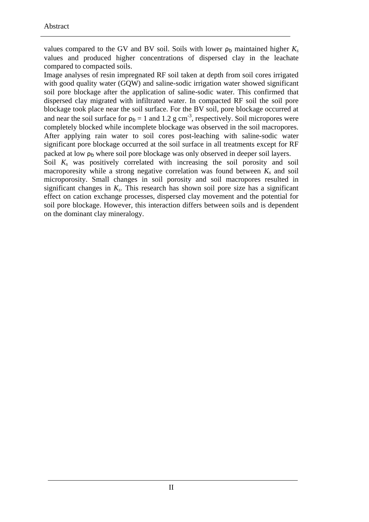values compared to the GV and BV soil. Soils with lower  $\rho_b$  maintained higher  $K_s$ values and produced higher concentrations of dispersed clay in the leachate compared to compacted soils.

Image analyses of resin impregnated RF soil taken at depth from soil cores irrigated with good quality water (GQW) and saline-sodic irrigation water showed significant soil pore blockage after the application of saline-sodic water. This confirmed that dispersed clay migrated with infiltrated water. In compacted RF soil the soil pore blockage took place near the soil surface. For the BV soil, pore blockage occurred at and near the soil surface for  $\rho_b = 1$  and 1.2 g cm<sup>-3</sup>, respectively. Soil micropores were completely blocked while incomplete blockage was observed in the soil macropores. After applying rain water to soil cores post-leaching with saline-sodic water significant pore blockage occurred at the soil surface in all treatments except for RF packed at low  $\rho_b$  where soil pore blockage was only observed in deeper soil layers.

Soil  $K_s$  was positively correlated with increasing the soil porosity and soil macroporesity while a strong negative correlation was found between  $K_s$  and soil microporosity. Small changes in soil porosity and soil macropores resulted in significant changes in  $K_s$ . This research has shown soil pore size has a significant effect on cation exchange processes, dispersed clay movement and the potential for soil pore blockage. However, this interaction differs between soils and is dependent on the dominant clay mineralogy.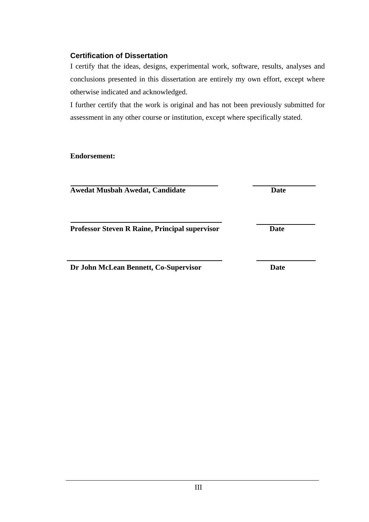#### <span id="page-6-0"></span>**Certification of Dissertation**

I certify that the ideas, designs, experimental work, software, results, analyses and conclusions presented in this dissertation are entirely my own effort, except where otherwise indicated and acknowledged.

I further certify that the work is original and has not been previously submitted for assessment in any other course or institution, except where specifically stated.

**Endorsement:** 

**Awedat Musbah Awedat, Candidate Date** 

**Professor Steven R Raine, Principal supervisor Date** 

**Dr John McLean Bennett, Co-Supervisor Date**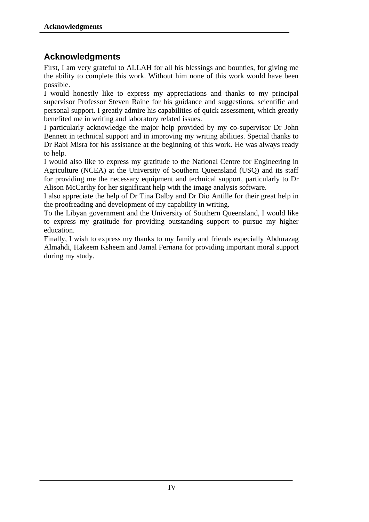# <span id="page-7-0"></span>**Acknowledgments**

First, I am very grateful to ALLAH for all his blessings and bounties, for giving me the ability to complete this work. Without him none of this work would have been possible.

I would honestly like to express my appreciations and thanks to my principal supervisor Professor Steven Raine for his guidance and suggestions, scientific and personal support. I greatly admire his capabilities of quick assessment, which greatly benefited me in writing and laboratory related issues.

I particularly acknowledge the major help provided by my co-supervisor Dr John Bennett in technical support and in improving my writing abilities. Special thanks to Dr Rabi Misra for his assistance at the beginning of this work. He was always ready to help.

I would also like to express my gratitude to the National Centre for Engineering in Agriculture (NCEA) at the University of Southern Queensland (USQ) and its staff for providing me the necessary equipment and technical support, particularly to Dr Alison McCarthy for her significant help with the image analysis software.

I also appreciate the help of Dr Tina Dalby and Dr Dio Antille for their great help in the proofreading and development of my capability in writing.

To the Libyan government and the University of Southern Queensland, I would like to express my gratitude for providing outstanding support to pursue my higher education.

Finally, I wish to express my thanks to my family and friends especially Abdurazag Almahdi, Hakeem Ksheem and Jamal Fernana for providing important moral support during my study.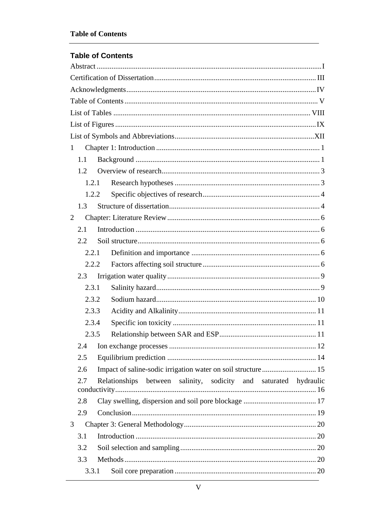### <span id="page-8-0"></span>**Table of Contents**

| 1              |     |                                                                  |  |  |  |
|----------------|-----|------------------------------------------------------------------|--|--|--|
|                | 1.1 |                                                                  |  |  |  |
|                | 1.2 |                                                                  |  |  |  |
|                |     | 1.2.1                                                            |  |  |  |
|                |     | 1.2.2                                                            |  |  |  |
|                | 1.3 |                                                                  |  |  |  |
| $\overline{2}$ |     |                                                                  |  |  |  |
|                | 2.1 |                                                                  |  |  |  |
|                | 2.2 |                                                                  |  |  |  |
|                |     | 2.2.1                                                            |  |  |  |
|                |     | 2.2.2                                                            |  |  |  |
|                | 2.3 |                                                                  |  |  |  |
|                |     | 2.3.1                                                            |  |  |  |
|                |     | 2.3.2                                                            |  |  |  |
|                |     | 2.3.3                                                            |  |  |  |
|                |     | 2.3.4                                                            |  |  |  |
|                |     | 2.3.5                                                            |  |  |  |
|                | 2.4 |                                                                  |  |  |  |
|                | 2.5 |                                                                  |  |  |  |
|                | 2.6 |                                                                  |  |  |  |
|                | 2.7 | Relationships between salinity, sodicity and saturated hydraulic |  |  |  |
|                | 2.8 |                                                                  |  |  |  |
|                | 2.9 |                                                                  |  |  |  |
| 3              |     |                                                                  |  |  |  |
|                | 3.1 |                                                                  |  |  |  |
|                | 3.2 |                                                                  |  |  |  |
|                | 3.3 |                                                                  |  |  |  |
|                |     | 3.3.1                                                            |  |  |  |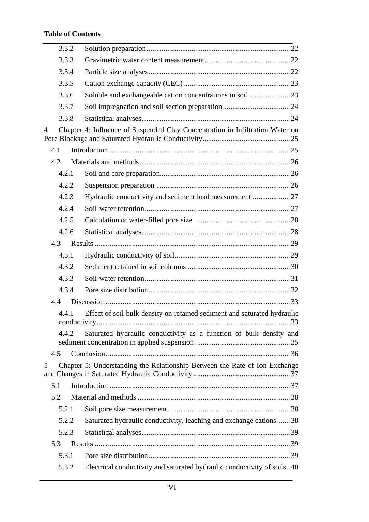### **Table of Contents**

| 3.3.2          |                                                                               |  |
|----------------|-------------------------------------------------------------------------------|--|
| 3.3.3          |                                                                               |  |
| 3.3.4          |                                                                               |  |
| 3.3.5          |                                                                               |  |
| 3.3.6          |                                                                               |  |
| 3.3.7          |                                                                               |  |
| 3.3.8          |                                                                               |  |
| $\overline{4}$ | Chapter 4: Influence of Suspended Clay Concentration in Infiltration Water on |  |
| 4.1            |                                                                               |  |
| 4.2            |                                                                               |  |
| 4.2.1          |                                                                               |  |
| 4.2.2          |                                                                               |  |
| 4.2.3          | Hydraulic conductivity and sediment load measurement 27                       |  |
| 4.2.4          |                                                                               |  |
| 4.2.5          |                                                                               |  |
| 4.2.6          |                                                                               |  |
| 4.3            |                                                                               |  |
| 4.3.1          |                                                                               |  |
| 4.3.2          |                                                                               |  |
| 4.3.3          |                                                                               |  |
| 4.3.4          |                                                                               |  |
| 4.4            |                                                                               |  |
| 4.4.1          | Effect of soil bulk density on retained sediment and saturated hydraulic      |  |
| 4.4.2          | Saturated hydraulic conductivity as a function of bulk density and            |  |
| 4.5            |                                                                               |  |
| 5              | Chapter 5: Understanding the Relationship Between the Rate of Ion Exchange    |  |
| 5.1            |                                                                               |  |
| 5.2            |                                                                               |  |
| 5.2.1          |                                                                               |  |
| 5.2.2          | Saturated hydraulic conductivity, leaching and exchange cations38             |  |
| 5.2.3          |                                                                               |  |
| 5.3            |                                                                               |  |
| 5.3.1          |                                                                               |  |
| 5.3.2          | Electrical conductivity and saturated hydraulic conductivity of soils40       |  |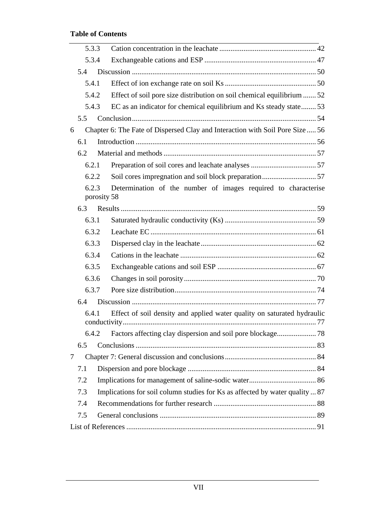### **Table of Contents**

|     | 5.3.3                |                                                                               |  |
|-----|----------------------|-------------------------------------------------------------------------------|--|
|     | 5.3.4                |                                                                               |  |
| 5.4 |                      |                                                                               |  |
|     | 5.4.1                |                                                                               |  |
|     | 5.4.2                | Effect of soil pore size distribution on soil chemical equilibrium  52        |  |
|     | 5.4.3                | EC as an indicator for chemical equilibrium and Ks steady state53             |  |
| 5.5 |                      |                                                                               |  |
| 6   |                      | Chapter 6: The Fate of Dispersed Clay and Interaction with Soil Pore Size  56 |  |
| 6.1 |                      |                                                                               |  |
| 6.2 |                      |                                                                               |  |
|     | 6.2.1                |                                                                               |  |
|     | 6.2.2                |                                                                               |  |
|     | 6.2.3<br>porosity 58 | Determination of the number of images required to characterise                |  |
| 6.3 |                      |                                                                               |  |
|     | 6.3.1                |                                                                               |  |
|     | 6.3.2                |                                                                               |  |
|     | 6.3.3                |                                                                               |  |
|     | 6.3.4                |                                                                               |  |
|     | 6.3.5                |                                                                               |  |
|     | 6.3.6                |                                                                               |  |
|     | 6.3.7                |                                                                               |  |
| 6.4 |                      |                                                                               |  |
|     | 6.4.1                | Effect of soil density and applied water quality on saturated hydraulic       |  |
|     | 6.4.2                |                                                                               |  |
| 6.5 |                      |                                                                               |  |
| 7   |                      |                                                                               |  |
| 7.1 |                      |                                                                               |  |
| 7.2 |                      |                                                                               |  |
| 7.3 |                      | Implications for soil column studies for Ks as affected by water quality  87  |  |
| 7.4 |                      |                                                                               |  |
| 7.5 |                      |                                                                               |  |
|     |                      |                                                                               |  |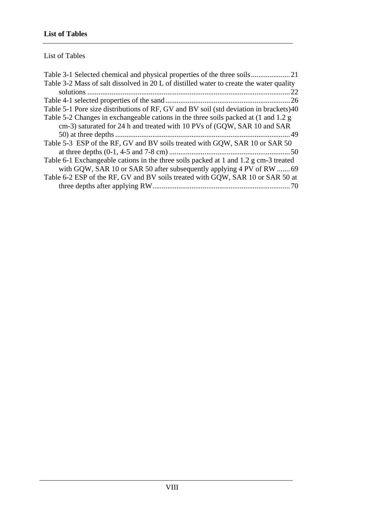<span id="page-11-0"></span>List of Tables

| Table 3-2 Mass of salt dissolved in 20 L of distilled water to create the water quality |
|-----------------------------------------------------------------------------------------|
| 22                                                                                      |
|                                                                                         |
| Table 5-1 Pore size distributions of RF, GV and BV soil (std deviation in brackets)40   |
| Table 5-2 Changes in exchangeable cations in the three soils packed at (1 and 1.2 g)    |
| cm-3) saturated for 24 h and treated with 10 PVs of (GQW, SAR 10 and SAR                |
|                                                                                         |
| Table 5-3 ESP of the RF, GV and BV soils treated with GQW, SAR 10 or SAR 50             |
|                                                                                         |
| Table 6-1 Exchangeable cations in the three soils packed at 1 and 1.2 g cm-3 treated    |
| with GQW, SAR 10 or SAR 50 after subsequently applying 4 PV of RW 69                    |
|                                                                                         |
| Table 6-2 ESP of the RF, GV and BV soils treated with GQW, SAR 10 or SAR 50 at          |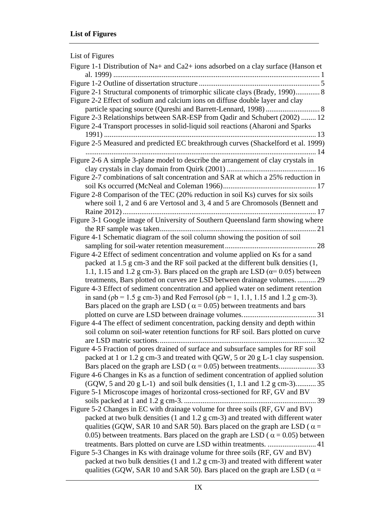<span id="page-12-0"></span>

| List of Figures                                                                                                                                                                                          |
|----------------------------------------------------------------------------------------------------------------------------------------------------------------------------------------------------------|
| Figure 1-1 Distribution of Na+ and Ca2+ ions adsorbed on a clay surface (Hanson et                                                                                                                       |
|                                                                                                                                                                                                          |
|                                                                                                                                                                                                          |
| Figure 2-1 Structural components of trimorphic silicate clays (Brady, 1990) 8<br>Figure 2-2 Effect of sodium and calcium ions on diffuse double layer and clay                                           |
| Figure 2-3 Relationships between SAR-ESP from Qadir and Schubert (2002)  12                                                                                                                              |
| Figure 2-4 Transport processes in solid-liquid soil reactions (Aharoni and Sparks                                                                                                                        |
| Figure 2-5 Measured and predicted EC breakthrough curves (Shackelford et al. 1999)                                                                                                                       |
| Figure 2-6 A simple 3-plane model to describe the arrangement of clay crystals in                                                                                                                        |
|                                                                                                                                                                                                          |
| Figure 2-7 combinations of salt concentration and SAR at which a 25% reduction in                                                                                                                        |
| Figure 2-8 Comparison of the TEC (20% reduction in soil Ks) curves for six soils                                                                                                                         |
| where soil 1, 2 and 6 are Vertosol and 3, 4 and 5 are Chromosols (Bennett and                                                                                                                            |
|                                                                                                                                                                                                          |
| Figure 3-1 Google image of University of Southern Queensland farm showing where                                                                                                                          |
| Figure 4-1 Schematic diagram of the soil column showing the position of soil                                                                                                                             |
|                                                                                                                                                                                                          |
| Figure 4-2 Effect of sediment concentration and volume applied on Ks for a sand                                                                                                                          |
| packed at 1.5 g cm-3 and the RF soil packed at the different bulk densities (1,                                                                                                                          |
| 1.1, 1.15 and 1.2 g cm-3). Bars placed on the graph are LSD ( $\alpha$ = 0.05) between                                                                                                                   |
| treatments, Bars plotted on curves are LSD between drainage volumes29                                                                                                                                    |
| Figure 4-3 Effect of sediment concentration and applied water on sediment retention                                                                                                                      |
| in sand ( $pb = 1.5$ g cm-3) and Red Ferrosol ( $pb = 1, 1.1, 1.15$ and 1.2 g cm-3).                                                                                                                     |
| Bars placed on the graph are LSD ( $\alpha$ = 0.05) between treatments and bars                                                                                                                          |
|                                                                                                                                                                                                          |
| Figure 4-4 The effect of sediment concentration, packing density and depth within<br>soil column on soil-water retention functions for RF soil. Bars plotted on curve                                    |
|                                                                                                                                                                                                          |
| Figure 4-5 Fraction of pores drained of surface and subsurface samples for RF soil                                                                                                                       |
| packed at 1 or 1.2 g cm-3 and treated with QGW, 5 or 20 g L-1 clay suspension.                                                                                                                           |
|                                                                                                                                                                                                          |
| Figure 4-6 Changes in Ks as a function of sediment concentration of applied solution<br>$(GQW, 5 \text{ and } 20 \text{ g } L-1)$ and soil bulk densities $(1, 1.1 \text{ and } 1.2 \text{ g } cm-3)$ 35 |
| Figure 5-1 Microscope images of horizontal cross-sectioned for RF, GV and BV                                                                                                                             |
| Figure 5-2 Changes in EC with drainage volume for three soils (RF, GV and BV)                                                                                                                            |
| packed at two bulk densities (1 and 1.2 g cm-3) and treated with different water                                                                                                                         |
| qualities (GQW, SAR 10 and SAR 50). Bars placed on the graph are LSD ( $\alpha$ =                                                                                                                        |
| 0.05) between treatments. Bars placed on the graph are LSD ( $\alpha$ = 0.05) between                                                                                                                    |
| treatments. Bars plotted on curve are LSD within treatments.  41                                                                                                                                         |
| Figure 5-3 Changes in Ks with drainage volume for three soils (RF, GV and BV)                                                                                                                            |
| packed at two bulk densities (1 and 1.2 g cm-3) and treated with different water                                                                                                                         |
| qualities (GQW, SAR 10 and SAR 50). Bars placed on the graph are LSD ( $\alpha$ =                                                                                                                        |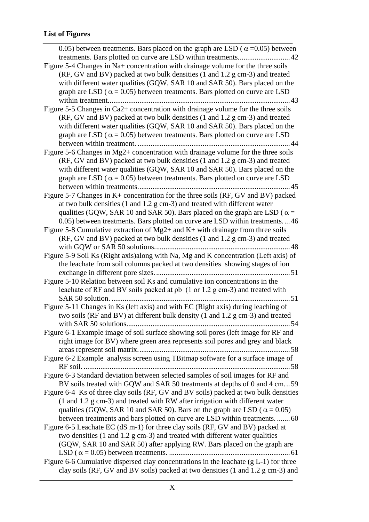| 0.05) between treatments. Bars placed on the graph are LSD ( $\alpha$ =0.05) between            |
|-------------------------------------------------------------------------------------------------|
|                                                                                                 |
| Figure 5-4 Changes in Na+ concentration with drainage volume for the three soils                |
| (RF, GV and BV) packed at two bulk densities (1 and 1.2 g cm-3) and treated                     |
| with different water qualities (GQW, SAR 10 and SAR 50). Bars placed on the                     |
| graph are LSD ( $\alpha$ = 0.05) between treatments. Bars plotted on curve are LSD              |
| . 43                                                                                            |
| Figure 5-5 Changes in Ca2+ concentration with drainage volume for the three soils               |
| (RF, GV and BV) packed at two bulk densities (1 and 1.2 g cm-3) and treated                     |
| with different water qualities (GQW, SAR 10 and SAR 50). Bars placed on the                     |
| graph are LSD ( $\alpha$ = 0.05) between treatments. Bars plotted on curve are LSD              |
|                                                                                                 |
| Figure 5-6 Changes in $Mg2+$ concentration with drainage volume for the three soils             |
| (RF, GV and BV) packed at two bulk densities (1 and 1.2 g cm-3) and treated                     |
| with different water qualities (GQW, SAR 10 and SAR 50). Bars placed on the                     |
| graph are LSD ( $\alpha$ = 0.05) between treatments. Bars plotted on curve are LSD              |
| .45                                                                                             |
| Figure 5-7 Changes in K+ concentration for the three soils (RF, GV and BV) packed               |
| at two bulk densities $(1 \text{ and } 1.2 \text{ g cm-3})$ and treated with different water    |
| qualities (GQW, SAR 10 and SAR 50). Bars placed on the graph are LSD ( $\alpha$ =               |
| 0.05) between treatments. Bars plotted on curve are LSD within treatments46                     |
| Figure 5-8 Cumulative extraction of Mg2+ and K+ with drainage from three soils                  |
| (RF, GV and BV) packed at two bulk densities (1 and 1.2 g cm-3) and treated                     |
| .48                                                                                             |
| Figure 5-9 Soil Ks (Right axis) along with Na, Mg and K concentration (Left axis) of            |
| the leachate from soil columns packed at two densities showing stages of ion                    |
|                                                                                                 |
| Figure 5-10 Relation between soil Ks and cumulative ion concentrations in the                   |
| leachate of RF and BV soils packed at pb (1 or 1.2 g cm-3) and treated with                     |
| 51                                                                                              |
| Figure 5-11 Changes in Ks (left axis) and with EC (Right axis) during leaching of               |
| two soils (RF and BV) at different bulk density (1 and 1.2 g cm-3) and treated                  |
| Figure 6-1 Example image of soil surface showing soil pores (left image for RF and              |
| right image for BV) where green area represents soil pores and grey and black                   |
|                                                                                                 |
| Figure 6-2 Example analysis screen using TBitmap software for a surface image of                |
|                                                                                                 |
| Figure 6-3 Standard deviation between selected samples of soil images for RF and                |
| BV soils treated with GQW and SAR 50 treatments at depths of 0 and 4 cm59                       |
| Figure 6-4 Ks of three clay soils (RF, GV and BV soils) packed at two bulk densities            |
| $(1 \text{ and } 1.2 \text{ g cm-3})$ and treated with RW after irrigation with different water |
| qualities (GQW, SAR 10 and SAR 50). Bars on the graph are LSD ( $\alpha$ = 0.05)                |
| between treatments and bars plotted on curve are LSD within treatments60                        |
| Figure 6-5 Leachate EC (dS m-1) for three clay soils (RF, GV and BV) packed at                  |
| two densities $(1 \text{ and } 1.2 \text{ g cm-3})$ and treated with different water qualities  |
| (GQW, SAR 10 and SAR 50) after applying RW. Bars placed on the graph are                        |
|                                                                                                 |
| Figure 6-6 Cumulative dispersed clay concentrations in the leachate $(g L-1)$ for three         |
| clay soils (RF, GV and BV soils) packed at two densities (1 and 1.2 g cm-3) and                 |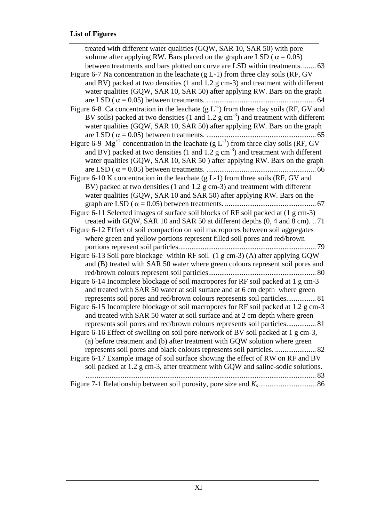| treated with different water qualities (GQW, SAR 10, SAR 50) with pore                                       |
|--------------------------------------------------------------------------------------------------------------|
| volume after applying RW. Bars placed on the graph are LSD ( $\alpha$ = 0.05)                                |
| between treatments and bars plotted on curve are LSD within treatments 63                                    |
| Figure 6-7 Na concentration in the leachate $(g L-1)$ from three clay soils (RF, GV                          |
| and BV) packed at two densities (1 and 1.2 g cm-3) and treatment with different                              |
| water qualities (GQW, SAR 10, SAR 50) after applying RW. Bars on the graph                                   |
|                                                                                                              |
| Figure 6-8 Ca concentration in the leachate $(g L^{-1})$ from three clay soils (RF, GV and                   |
| BV soils) packed at two densities (1 and 1.2 $\rm g \, cm^{-3}$ ) and treatment with different               |
| water qualities (GQW, SAR 10, SAR 50) after applying RW. Bars on the graph                                   |
|                                                                                                              |
| Figure 6-9 $\text{Mg}^{+2}$ concentration in the leachate (g L <sup>-1</sup> ) from three clay soils (RF, GV |
| and BV) packed at two densities (1 and 1.2 $\text{g cm}^{-3}$ ) and treatment with different                 |
| water qualities (GQW, SAR 10, SAR 50) after applying RW. Bars on the graph                                   |
|                                                                                                              |
| Figure 6-10 K concentration in the leachate (g L-1) from three soils (RF, GV and                             |
| BV) packed at two densities (1 and 1.2 g cm-3) and treatment with different                                  |
| water qualities (GQW, SAR 10 and SAR 50) after applying RW. Bars on the                                      |
|                                                                                                              |
| Figure 6-11 Selected images of surface soil blocks of RF soil packed at (1 g cm-3)                           |
| treated with GQW, SAR 10 and SAR 50 at different depths (0, 4 and 8 cm). 71                                  |
| Figure 6-12 Effect of soil compaction on soil macropores between soil aggregates                             |
| where green and yellow portions represent filled soil pores and red/brown                                    |
| 79                                                                                                           |
| Figure 6-13 Soil pore blockage within RF soil (1 g cm-3) (A) after applying GQW                              |
| and (B) treated with SAR 50 water where green colours represent soil pores and                               |
|                                                                                                              |
| Figure 6-14 Incomplete blockage of soil macropores for RF soil packed at 1 g cm-3                            |
| and treated with SAR 50 water at soil surface and at 6 cm depth where green                                  |
| represents soil pores and red/brown colours represents soil particles 81                                     |
| Figure 6-15 Incomplete blockage of soil macropores for RF soil packed at 1.2 g cm-3                          |
| and treated with SAR 50 water at soil surface and at 2 cm depth where green                                  |
| represents soil pores and red/brown colours represents soil particles 81                                     |
| Figure 6-16 Effect of swelling on soil pore-network of BV soil packed at 1 g cm-3,                           |
| (a) before treatment and (b) after treatment with GQW solution where green                                   |
| represents soil pores and black colours represents soil particles.  82                                       |
| Figure 6-17 Example image of soil surface showing the effect of RW on RF and BV                              |
| soil packed at 1.2 g cm-3, after treatment with GQW and saline-sodic solutions.                              |
|                                                                                                              |
|                                                                                                              |